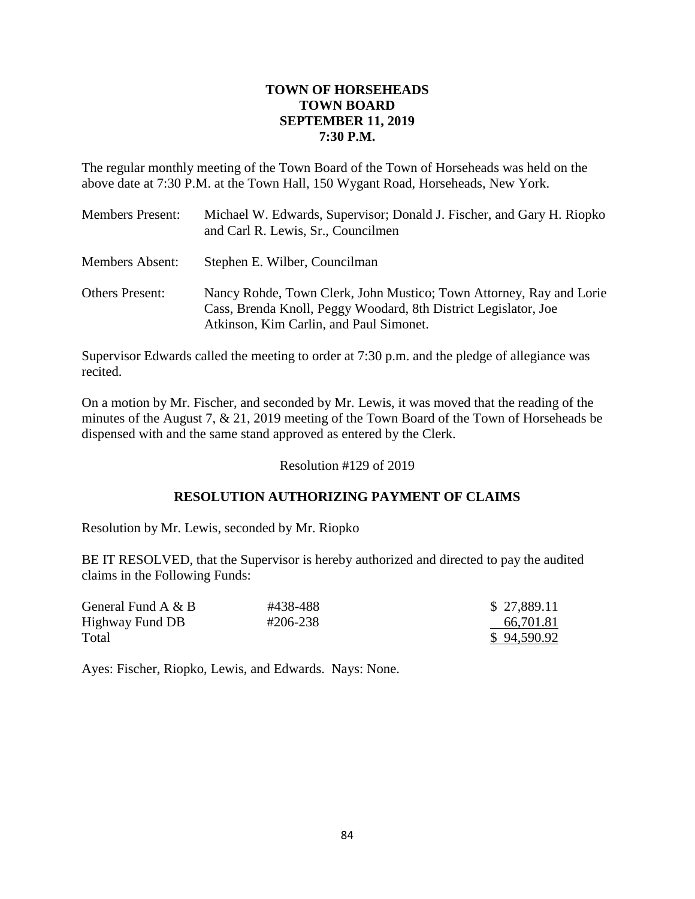# **TOWN OF HORSEHEADS TOWN BOARD SEPTEMBER 11, 2019 7:30 P.M.**

The regular monthly meeting of the Town Board of the Town of Horseheads was held on the above date at 7:30 P.M. at the Town Hall, 150 Wygant Road, Horseheads, New York.

| <b>Members Present:</b> | Michael W. Edwards, Supervisor; Donald J. Fischer, and Gary H. Riopko<br>and Carl R. Lewis, Sr., Councilmen                                                                       |
|-------------------------|-----------------------------------------------------------------------------------------------------------------------------------------------------------------------------------|
| <b>Members Absent:</b>  | Stephen E. Wilber, Councilman                                                                                                                                                     |
| <b>Others Present:</b>  | Nancy Rohde, Town Clerk, John Mustico; Town Attorney, Ray and Lorie<br>Cass, Brenda Knoll, Peggy Woodard, 8th District Legislator, Joe<br>Atkinson, Kim Carlin, and Paul Simonet. |

Supervisor Edwards called the meeting to order at 7:30 p.m. and the pledge of allegiance was recited.

On a motion by Mr. Fischer, and seconded by Mr. Lewis, it was moved that the reading of the minutes of the August 7, & 21, 2019 meeting of the Town Board of the Town of Horseheads be dispensed with and the same stand approved as entered by the Clerk.

Resolution #129 of 2019

# **RESOLUTION AUTHORIZING PAYMENT OF CLAIMS**

Resolution by Mr. Lewis, seconded by Mr. Riopko

BE IT RESOLVED, that the Supervisor is hereby authorized and directed to pay the audited claims in the Following Funds:

| General Fund A & B | #438-488 | \$27,889.11 |
|--------------------|----------|-------------|
| Highway Fund DB    | #206-238 | 66,701.81   |
| Total              |          | \$94,590.92 |

Ayes: Fischer, Riopko, Lewis, and Edwards. Nays: None.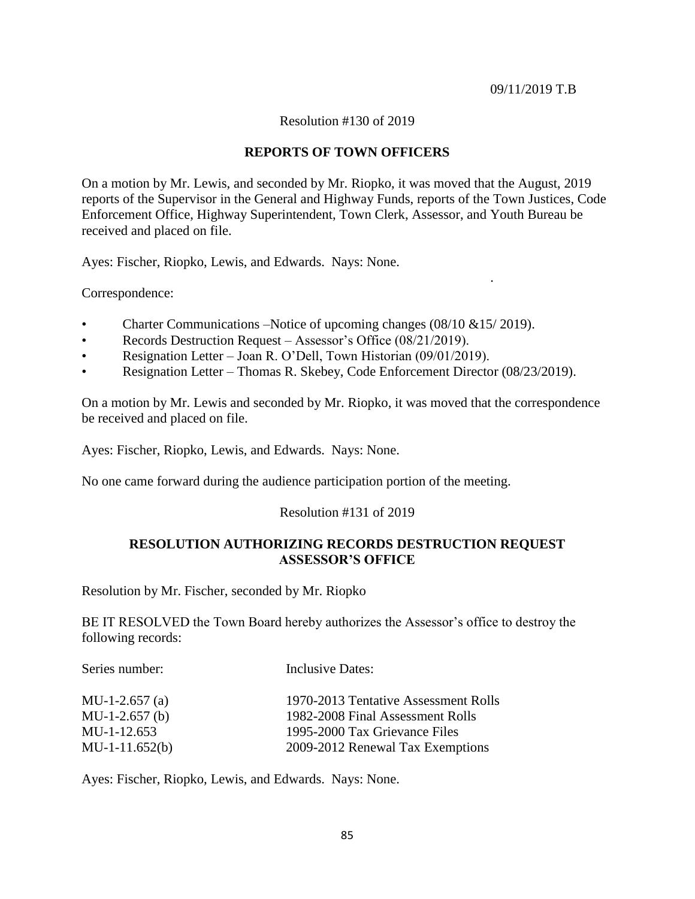.

### Resolution #130 of 2019

## **REPORTS OF TOWN OFFICERS**

On a motion by Mr. Lewis, and seconded by Mr. Riopko, it was moved that the August, 2019 reports of the Supervisor in the General and Highway Funds, reports of the Town Justices, Code Enforcement Office, Highway Superintendent, Town Clerk, Assessor, and Youth Bureau be received and placed on file.

Ayes: Fischer, Riopko, Lewis, and Edwards. Nays: None.

Correspondence:

- Charter Communications –Notice of upcoming changes (08/10 &15/ 2019).
- Records Destruction Request Assessor's Office (08/21/2019).
- Resignation Letter Joan R. O'Dell, Town Historian (09/01/2019).
- Resignation Letter Thomas R. Skebey, Code Enforcement Director (08/23/2019).

On a motion by Mr. Lewis and seconded by Mr. Riopko, it was moved that the correspondence be received and placed on file.

Ayes: Fischer, Riopko, Lewis, and Edwards. Nays: None.

No one came forward during the audience participation portion of the meeting.

## Resolution #131 of 2019

## **RESOLUTION AUTHORIZING RECORDS DESTRUCTION REQUEST ASSESSOR'S OFFICE**

Resolution by Mr. Fischer, seconded by Mr. Riopko

BE IT RESOLVED the Town Board hereby authorizes the Assessor's office to destroy the following records:

| Series number:   | Inclusive Dates:                     |
|------------------|--------------------------------------|
| MU-1-2.657 $(a)$ | 1970-2013 Tentative Assessment Rolls |
| $MU-1-2.657(b)$  | 1982-2008 Final Assessment Rolls     |
| MU-1-12.653      | 1995-2000 Tax Grievance Files        |
| $MU-1-11.652(b)$ | 2009-2012 Renewal Tax Exemptions     |

Ayes: Fischer, Riopko, Lewis, and Edwards. Nays: None.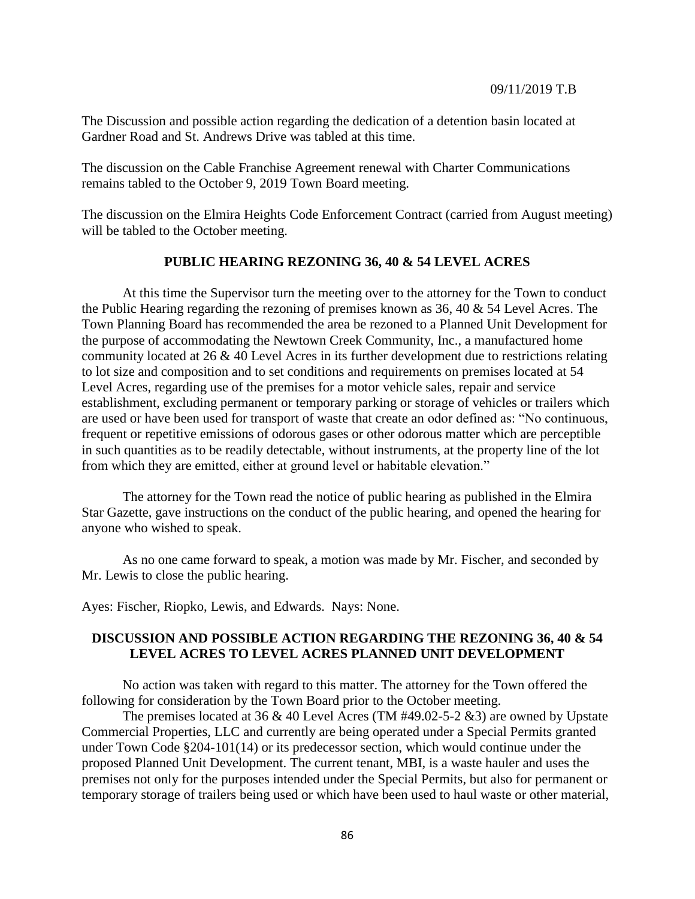The Discussion and possible action regarding the dedication of a detention basin located at Gardner Road and St. Andrews Drive was tabled at this time.

The discussion on the Cable Franchise Agreement renewal with Charter Communications remains tabled to the October 9, 2019 Town Board meeting.

The discussion on the Elmira Heights Code Enforcement Contract (carried from August meeting) will be tabled to the October meeting.

## **PUBLIC HEARING REZONING 36, 40 & 54 LEVEL ACRES**

At this time the Supervisor turn the meeting over to the attorney for the Town to conduct the Public Hearing regarding the rezoning of premises known as 36, 40 & 54 Level Acres. The Town Planning Board has recommended the area be rezoned to a Planned Unit Development for the purpose of accommodating the Newtown Creek Community, Inc., a manufactured home community located at 26 & 40 Level Acres in its further development due to restrictions relating to lot size and composition and to set conditions and requirements on premises located at 54 Level Acres, regarding use of the premises for a motor vehicle sales, repair and service establishment, excluding permanent or temporary parking or storage of vehicles or trailers which are used or have been used for transport of waste that create an odor defined as: "No continuous, frequent or repetitive emissions of odorous gases or other odorous matter which are perceptible in such quantities as to be readily detectable, without instruments, at the property line of the lot from which they are emitted, either at ground level or habitable elevation."

The attorney for the Town read the notice of public hearing as published in the Elmira Star Gazette, gave instructions on the conduct of the public hearing, and opened the hearing for anyone who wished to speak.

As no one came forward to speak, a motion was made by Mr. Fischer, and seconded by Mr. Lewis to close the public hearing.

Ayes: Fischer, Riopko, Lewis, and Edwards. Nays: None.

## **DISCUSSION AND POSSIBLE ACTION REGARDING THE REZONING 36, 40 & 54 LEVEL ACRES TO LEVEL ACRES PLANNED UNIT DEVELOPMENT**

No action was taken with regard to this matter. The attorney for the Town offered the following for consideration by the Town Board prior to the October meeting.

The premises located at 36  $\&$  40 Level Acres (TM #49.02-5-2  $\&$ 3) are owned by Upstate Commercial Properties, LLC and currently are being operated under a Special Permits granted under Town Code §204-101(14) or its predecessor section, which would continue under the proposed Planned Unit Development. The current tenant, MBI, is a waste hauler and uses the premises not only for the purposes intended under the Special Permits, but also for permanent or temporary storage of trailers being used or which have been used to haul waste or other material,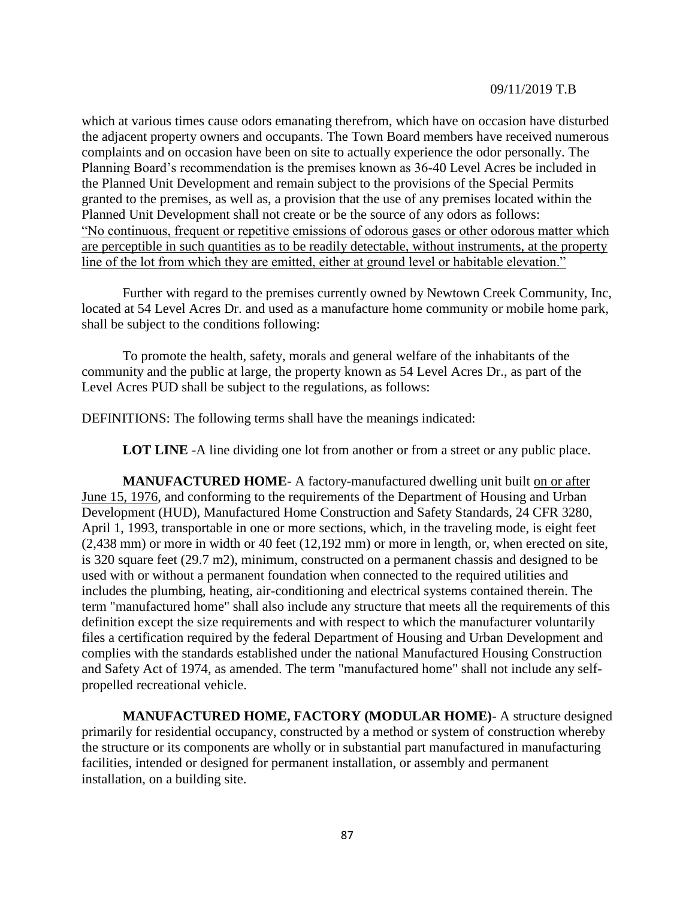which at various times cause odors emanating therefrom, which have on occasion have disturbed the adjacent property owners and occupants. The Town Board members have received numerous complaints and on occasion have been on site to actually experience the odor personally. The Planning Board's recommendation is the premises known as 36-40 Level Acres be included in the Planned Unit Development and remain subject to the provisions of the Special Permits granted to the premises, as well as, a provision that the use of any premises located within the Planned Unit Development shall not create or be the source of any odors as follows: "No continuous, frequent or repetitive emissions of odorous gases or other odorous matter which are perceptible in such quantities as to be readily detectable, without instruments, at the property line of the lot from which they are emitted, either at ground level or habitable elevation."

Further with regard to the premises currently owned by Newtown Creek Community, Inc, located at 54 Level Acres Dr. and used as a manufacture home community or mobile home park, shall be subject to the conditions following:

To promote the health, safety, morals and general welfare of the inhabitants of the community and the public at large, the property known as 54 Level Acres Dr., as part of the Level Acres PUD shall be subject to the regulations, as follows:

DEFINITIONS: The following terms shall have the meanings indicated:

**LOT LINE** -A line dividing one lot from another or from a street or any public place.

**MANUFACTURED HOME**- A factory-manufactured dwelling unit built on or after June 15, 1976, and conforming to the requirements of the Department of Housing and Urban Development (HUD), Manufactured Home Construction and Safety Standards, 24 CFR 3280, April 1, 1993, transportable in one or more sections, which, in the traveling mode, is eight feet (2,438 mm) or more in width or 40 feet (12,192 mm) or more in length, or, when erected on site, is 320 square feet (29.7 m2), minimum, constructed on a permanent chassis and designed to be used with or without a permanent foundation when connected to the required utilities and includes the plumbing, heating, air-conditioning and electrical systems contained therein. The term "manufactured home" shall also include any structure that meets all the requirements of this definition except the size requirements and with respect to which the manufacturer voluntarily files a certification required by the federal Department of Housing and Urban Development and complies with the standards established under the national Manufactured Housing Construction and Safety Act of 1974, as amended. The term "manufactured home" shall not include any selfpropelled recreational vehicle.

**MANUFACTURED HOME, FACTORY (MODULAR HOME)**- A structure designed primarily for residential occupancy, constructed by a method or system of construction whereby the structure or its components are wholly or in substantial part manufactured in manufacturing facilities, intended or designed for permanent installation, or assembly and permanent installation, on a building site.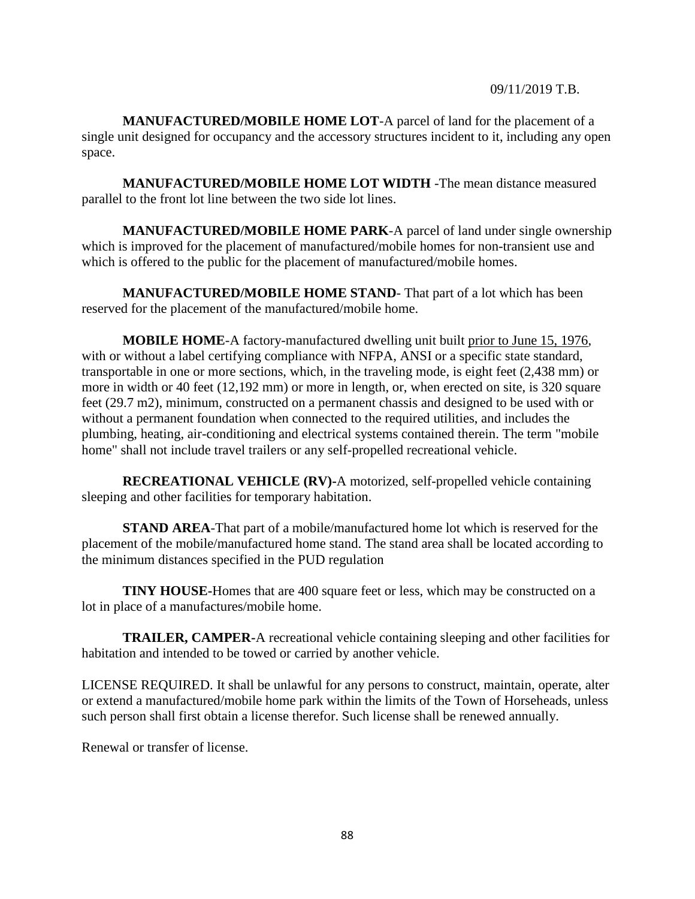**MANUFACTURED/MOBILE HOME LOT**-A parcel of land for the placement of a single unit designed for occupancy and the accessory structures incident to it, including any open space.

**MANUFACTURED/MOBILE HOME LOT WIDTH** -The mean distance measured parallel to the front lot line between the two side lot lines.

**MANUFACTURED/MOBILE HOME PARK**-A parcel of land under single ownership which is improved for the placement of manufactured/mobile homes for non-transient use and which is offered to the public for the placement of manufactured/mobile homes.

**MANUFACTURED/MOBILE HOME STAND**- That part of a lot which has been reserved for the placement of the manufactured/mobile home.

**MOBILE HOME**-A factory-manufactured dwelling unit built prior to June 15, 1976, with or without a label certifying compliance with NFPA, ANSI or a specific state standard, transportable in one or more sections, which, in the traveling mode, is eight feet (2,438 mm) or more in width or 40 feet (12,192 mm) or more in length, or, when erected on site, is 320 square feet (29.7 m2), minimum, constructed on a permanent chassis and designed to be used with or without a permanent foundation when connected to the required utilities, and includes the plumbing, heating, air-conditioning and electrical systems contained therein. The term "mobile home" shall not include travel trailers or any self-propelled recreational vehicle.

**RECREATIONAL VEHICLE (RV)-**A motorized, self-propelled vehicle containing sleeping and other facilities for temporary habitation.

**STAND AREA**-That part of a mobile/manufactured home lot which is reserved for the placement of the mobile/manufactured home stand. The stand area shall be located according to the minimum distances specified in the PUD regulation

**TINY HOUSE-**Homes that are 400 square feet or less, which may be constructed on a lot in place of a manufactures/mobile home.

**TRAILER, CAMPER-**A recreational vehicle containing sleeping and other facilities for habitation and intended to be towed or carried by another vehicle.

LICENSE REQUIRED. It shall be unlawful for any persons to construct, maintain, operate, alter or extend a manufactured/mobile home park within the limits of the Town of Horseheads, unless such person shall first obtain a license therefor. Such license shall be renewed annually.

Renewal or transfer of license.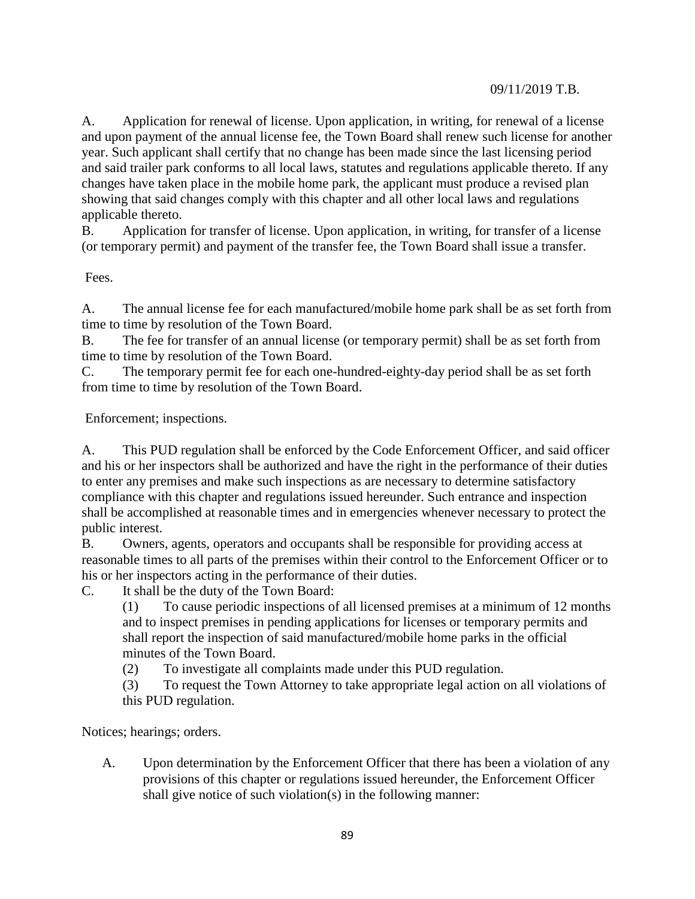A. Application for renewal of license. Upon application, in writing, for renewal of a license and upon payment of the annual license fee, the Town Board shall renew such license for another year. Such applicant shall certify that no change has been made since the last licensing period and said trailer park conforms to all local laws, statutes and regulations applicable thereto. If any changes have taken place in the mobile home park, the applicant must produce a revised plan showing that said changes comply with this chapter and all other local laws and regulations applicable thereto.

B. Application for transfer of license. Upon application, in writing, for transfer of a license (or temporary permit) and payment of the transfer fee, the Town Board shall issue a transfer.

Fees.

A. The annual license fee for each manufactured/mobile home park shall be as set forth from time to time by resolution of the Town Board.

B. The fee for transfer of an annual license (or temporary permit) shall be as set forth from time to time by resolution of the Town Board.

C. The temporary permit fee for each one-hundred-eighty-day period shall be as set forth from time to time by resolution of the Town Board.

Enforcement; inspections.

A. This PUD regulation shall be enforced by the Code Enforcement Officer, and said officer and his or her inspectors shall be authorized and have the right in the performance of their duties to enter any premises and make such inspections as are necessary to determine satisfactory compliance with this chapter and regulations issued hereunder. Such entrance and inspection shall be accomplished at reasonable times and in emergencies whenever necessary to protect the public interest.

B. Owners, agents, operators and occupants shall be responsible for providing access at reasonable times to all parts of the premises within their control to the Enforcement Officer or to his or her inspectors acting in the performance of their duties.

C. It shall be the duty of the Town Board:

(1) To cause periodic inspections of all licensed premises at a minimum of 12 months and to inspect premises in pending applications for licenses or temporary permits and shall report the inspection of said manufactured/mobile home parks in the official minutes of the Town Board.

(2) To investigate all complaints made under this PUD regulation.

(3) To request the Town Attorney to take appropriate legal action on all violations of this PUD regulation.

Notices; hearings; orders.

A. Upon determination by the Enforcement Officer that there has been a violation of any provisions of this chapter or regulations issued hereunder, the Enforcement Officer shall give notice of such violation(s) in the following manner: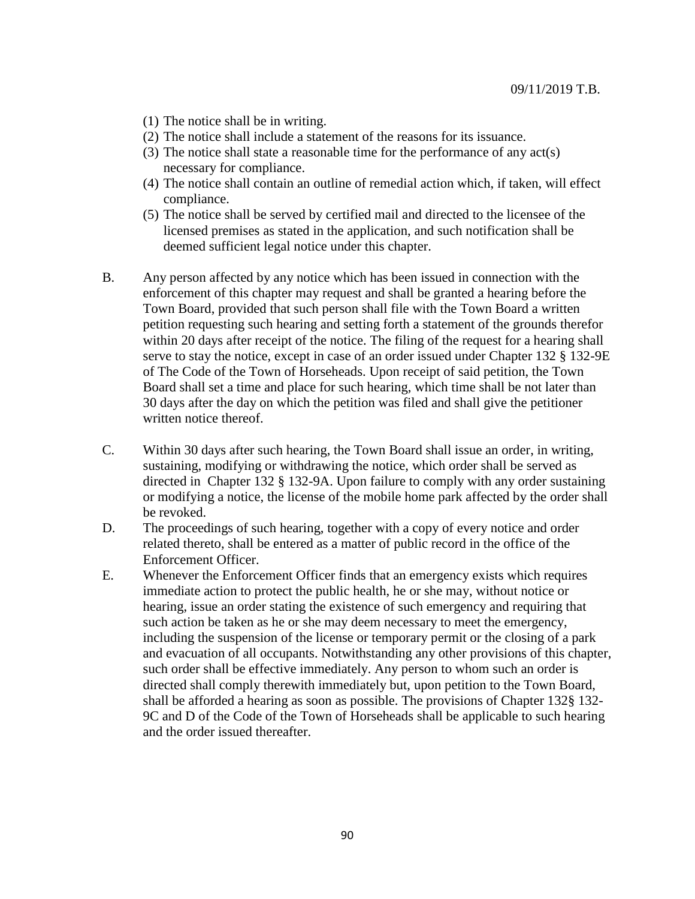- (1) The notice shall be in writing.
- (2) The notice shall include a statement of the reasons for its issuance.
- (3) The notice shall state a reasonable time for the performance of any act(s) necessary for compliance.
- (4) The notice shall contain an outline of remedial action which, if taken, will effect compliance.
- (5) The notice shall be served by certified mail and directed to the licensee of the licensed premises as stated in the application, and such notification shall be deemed sufficient legal notice under this chapter.
- B. Any person affected by any notice which has been issued in connection with the enforcement of this chapter may request and shall be granted a hearing before the Town Board, provided that such person shall file with the Town Board a written petition requesting such hearing and setting forth a statement of the grounds therefor within 20 days after receipt of the notice. The filing of the request for a hearing shall serve to stay the notice, except in case of an order issued under Chapter 132 § 132-9E of The Code of the Town of Horseheads. Upon receipt of said petition, the Town Board shall set a time and place for such hearing, which time shall be not later than 30 days after the day on which the petition was filed and shall give the petitioner written notice thereof.
- C. Within 30 days after such hearing, the Town Board shall issue an order, in writing, sustaining, modifying or withdrawing the notice, which order shall be served as directed in Chapter 132 § 132-9A. Upon failure to comply with any order sustaining or modifying a notice, the license of the mobile home park affected by the order shall be revoked.
- D. The proceedings of such hearing, together with a copy of every notice and order related thereto, shall be entered as a matter of public record in the office of the Enforcement Officer.
- E. Whenever the Enforcement Officer finds that an emergency exists which requires immediate action to protect the public health, he or she may, without notice or hearing, issue an order stating the existence of such emergency and requiring that such action be taken as he or she may deem necessary to meet the emergency, including the suspension of the license or temporary permit or the closing of a park and evacuation of all occupants. Notwithstanding any other provisions of this chapter, such order shall be effective immediately. Any person to whom such an order is directed shall comply therewith immediately but, upon petition to the Town Board, shall be afforded a hearing as soon as possible. The provisions of Chapter 132§ 132- 9C and D of the Code of the Town of Horseheads shall be applicable to such hearing and the order issued thereafter.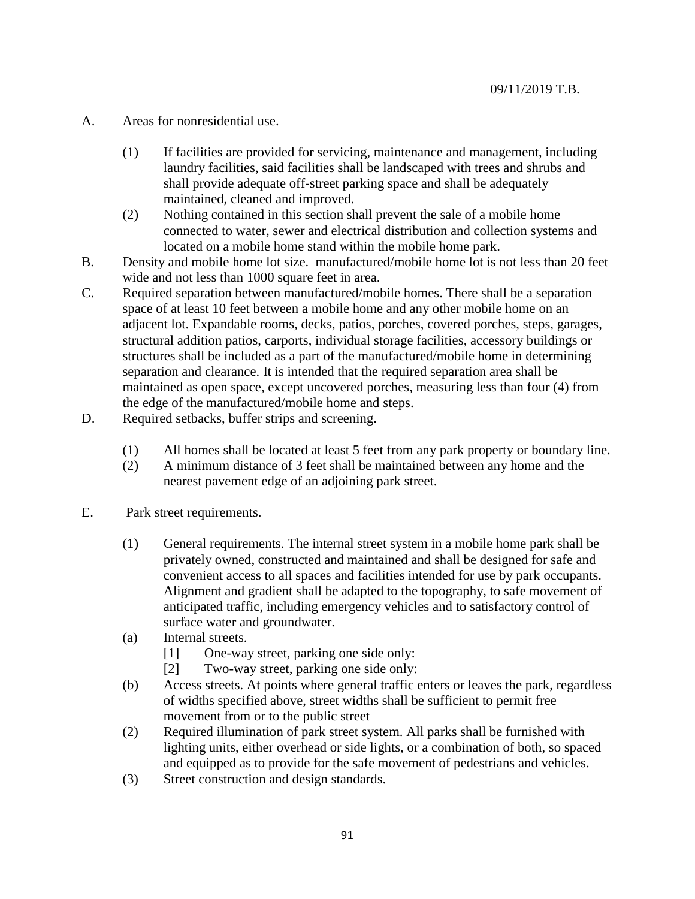- A. Areas for nonresidential use.
	- (1) If facilities are provided for servicing, maintenance and management, including laundry facilities, said facilities shall be landscaped with trees and shrubs and shall provide adequate off-street parking space and shall be adequately maintained, cleaned and improved.
	- (2) Nothing contained in this section shall prevent the sale of a mobile home connected to water, sewer and electrical distribution and collection systems and located on a mobile home stand within the mobile home park.
- B. Density and mobile home lot size. manufactured/mobile home lot is not less than 20 feet wide and not less than 1000 square feet in area.
- C. Required separation between manufactured/mobile homes. There shall be a separation space of at least 10 feet between a mobile home and any other mobile home on an adjacent lot. Expandable rooms, decks, patios, porches, covered porches, steps, garages, structural addition patios, carports, individual storage facilities, accessory buildings or structures shall be included as a part of the manufactured/mobile home in determining separation and clearance. It is intended that the required separation area shall be maintained as open space, except uncovered porches, measuring less than four (4) from the edge of the manufactured/mobile home and steps.
- D. Required setbacks, buffer strips and screening.
	- (1) All homes shall be located at least 5 feet from any park property or boundary line.
	- (2) A minimum distance of 3 feet shall be maintained between any home and the nearest pavement edge of an adjoining park street.
- E. Park street requirements.
	- (1) General requirements. The internal street system in a mobile home park shall be privately owned, constructed and maintained and shall be designed for safe and convenient access to all spaces and facilities intended for use by park occupants. Alignment and gradient shall be adapted to the topography, to safe movement of anticipated traffic, including emergency vehicles and to satisfactory control of surface water and groundwater.
	- (a) Internal streets.
		- [1] One-way street, parking one side only:
		- [2] Two-way street, parking one side only:
	- (b) Access streets. At points where general traffic enters or leaves the park, regardless of widths specified above, street widths shall be sufficient to permit free movement from or to the public street
	- (2) Required illumination of park street system. All parks shall be furnished with lighting units, either overhead or side lights, or a combination of both, so spaced and equipped as to provide for the safe movement of pedestrians and vehicles.
	- (3) Street construction and design standards.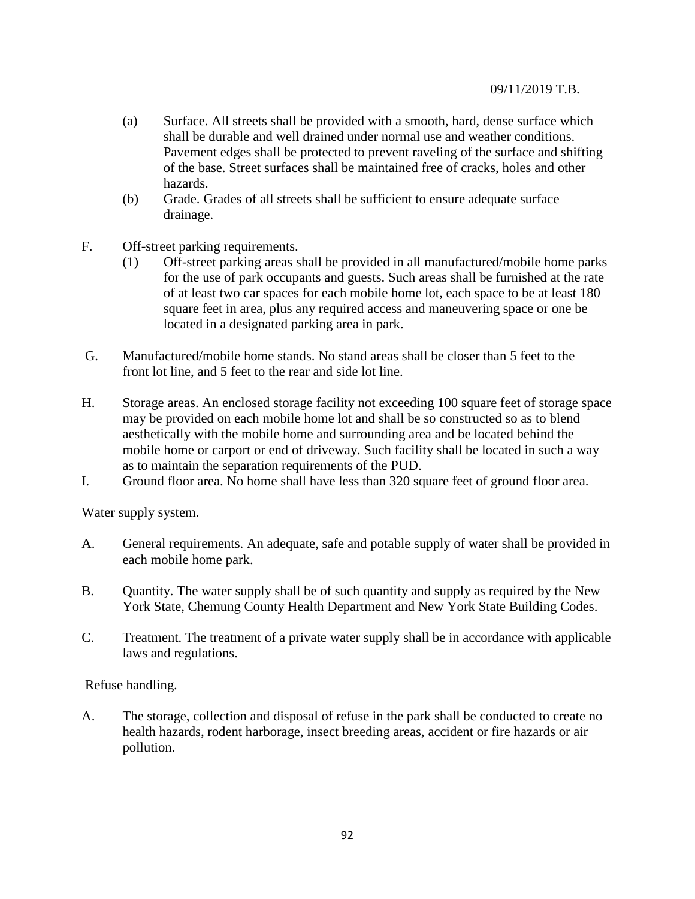- (a) Surface. All streets shall be provided with a smooth, hard, dense surface which shall be durable and well drained under normal use and weather conditions. Pavement edges shall be protected to prevent raveling of the surface and shifting of the base. Street surfaces shall be maintained free of cracks, holes and other hazards.
- (b) Grade. Grades of all streets shall be sufficient to ensure adequate surface drainage.
- F. Off-street parking requirements.
	- (1) Off-street parking areas shall be provided in all manufactured/mobile home parks for the use of park occupants and guests. Such areas shall be furnished at the rate of at least two car spaces for each mobile home lot, each space to be at least 180 square feet in area, plus any required access and maneuvering space or one be located in a designated parking area in park.
- G. Manufactured/mobile home stands. No stand areas shall be closer than 5 feet to the front lot line, and 5 feet to the rear and side lot line.
- H. Storage areas. An enclosed storage facility not exceeding 100 square feet of storage space may be provided on each mobile home lot and shall be so constructed so as to blend aesthetically with the mobile home and surrounding area and be located behind the mobile home or carport or end of driveway. Such facility shall be located in such a way as to maintain the separation requirements of the PUD.
- I. Ground floor area. No home shall have less than 320 square feet of ground floor area.

Water supply system.

- A. General requirements. An adequate, safe and potable supply of water shall be provided in each mobile home park.
- B. Quantity. The water supply shall be of such quantity and supply as required by the New York State, Chemung County Health Department and New York State Building Codes.
- C. Treatment. The treatment of a private water supply shall be in accordance with applicable laws and regulations.

Refuse handling.

A. The storage, collection and disposal of refuse in the park shall be conducted to create no health hazards, rodent harborage, insect breeding areas, accident or fire hazards or air pollution.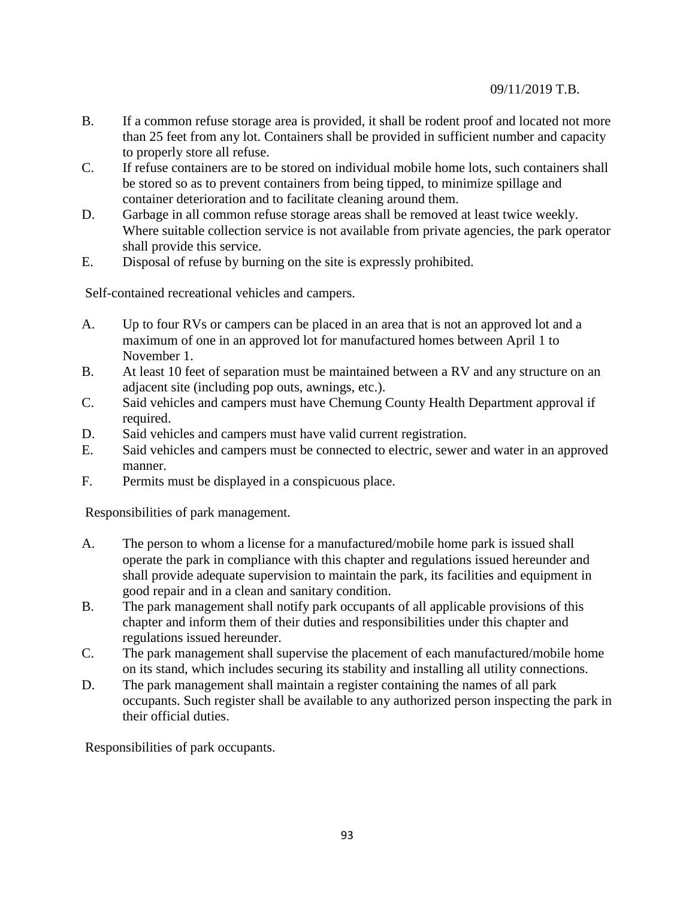- B. If a common refuse storage area is provided, it shall be rodent proof and located not more than 25 feet from any lot. Containers shall be provided in sufficient number and capacity to properly store all refuse.
- C. If refuse containers are to be stored on individual mobile home lots, such containers shall be stored so as to prevent containers from being tipped, to minimize spillage and container deterioration and to facilitate cleaning around them.
- D. Garbage in all common refuse storage areas shall be removed at least twice weekly. Where suitable collection service is not available from private agencies, the park operator shall provide this service.
- E. Disposal of refuse by burning on the site is expressly prohibited.

Self-contained recreational vehicles and campers.

- A. Up to four RVs or campers can be placed in an area that is not an approved lot and a maximum of one in an approved lot for manufactured homes between April 1 to November 1.
- B. At least 10 feet of separation must be maintained between a RV and any structure on an adjacent site (including pop outs, awnings, etc.).
- C. Said vehicles and campers must have Chemung County Health Department approval if required.
- D. Said vehicles and campers must have valid current registration.
- E. Said vehicles and campers must be connected to electric, sewer and water in an approved manner.
- F. Permits must be displayed in a conspicuous place.

Responsibilities of park management.

- A. The person to whom a license for a manufactured/mobile home park is issued shall operate the park in compliance with this chapter and regulations issued hereunder and shall provide adequate supervision to maintain the park, its facilities and equipment in good repair and in a clean and sanitary condition.
- B. The park management shall notify park occupants of all applicable provisions of this chapter and inform them of their duties and responsibilities under this chapter and regulations issued hereunder.
- C. The park management shall supervise the placement of each manufactured/mobile home on its stand, which includes securing its stability and installing all utility connections.
- D. The park management shall maintain a register containing the names of all park occupants. Such register shall be available to any authorized person inspecting the park in their official duties.

Responsibilities of park occupants.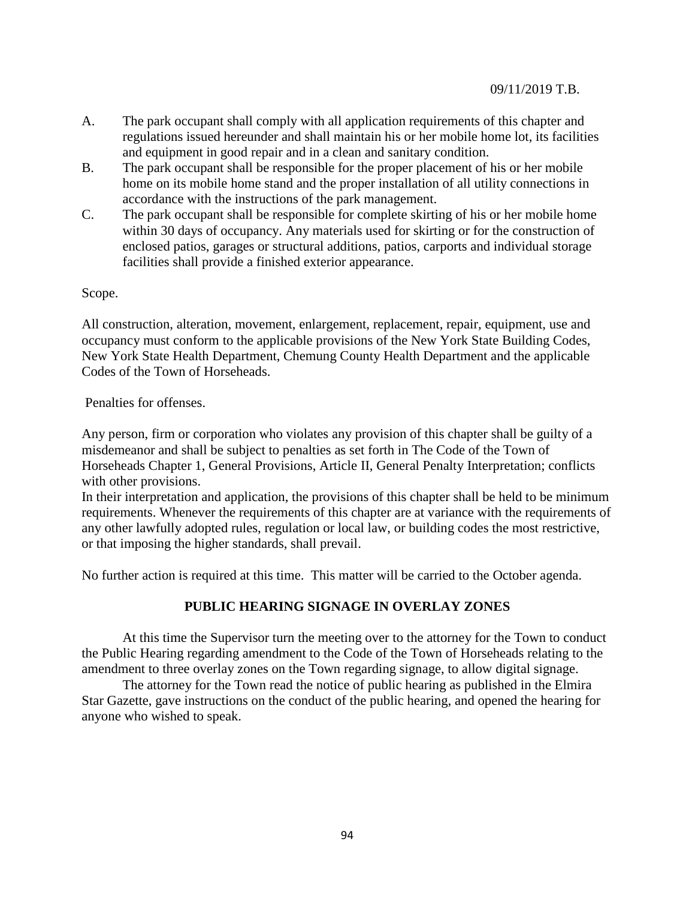- A. The park occupant shall comply with all application requirements of this chapter and regulations issued hereunder and shall maintain his or her mobile home lot, its facilities and equipment in good repair and in a clean and sanitary condition.
- B. The park occupant shall be responsible for the proper placement of his or her mobile home on its mobile home stand and the proper installation of all utility connections in accordance with the instructions of the park management.
- C. The park occupant shall be responsible for complete skirting of his or her mobile home within 30 days of occupancy. Any materials used for skirting or for the construction of enclosed patios, garages or structural additions, patios, carports and individual storage facilities shall provide a finished exterior appearance.

## Scope.

All construction, alteration, movement, enlargement, replacement, repair, equipment, use and occupancy must conform to the applicable provisions of the New York State Building Codes, New York State Health Department, Chemung County Health Department and the applicable Codes of the Town of Horseheads.

Penalties for offenses.

Any person, firm or corporation who violates any provision of this chapter shall be guilty of a misdemeanor and shall be subject to penalties as set forth in The Code of the Town of Horseheads Chapter 1, General Provisions, Article II, General Penalty Interpretation; conflicts with other provisions.

In their interpretation and application, the provisions of this chapter shall be held to be minimum requirements. Whenever the requirements of this chapter are at variance with the requirements of any other lawfully adopted rules, regulation or local law, or building codes the most restrictive, or that imposing the higher standards, shall prevail.

No further action is required at this time. This matter will be carried to the October agenda.

# **PUBLIC HEARING SIGNAGE IN OVERLAY ZONES**

At this time the Supervisor turn the meeting over to the attorney for the Town to conduct the Public Hearing regarding amendment to the Code of the Town of Horseheads relating to the amendment to three overlay zones on the Town regarding signage, to allow digital signage.

The attorney for the Town read the notice of public hearing as published in the Elmira Star Gazette, gave instructions on the conduct of the public hearing, and opened the hearing for anyone who wished to speak.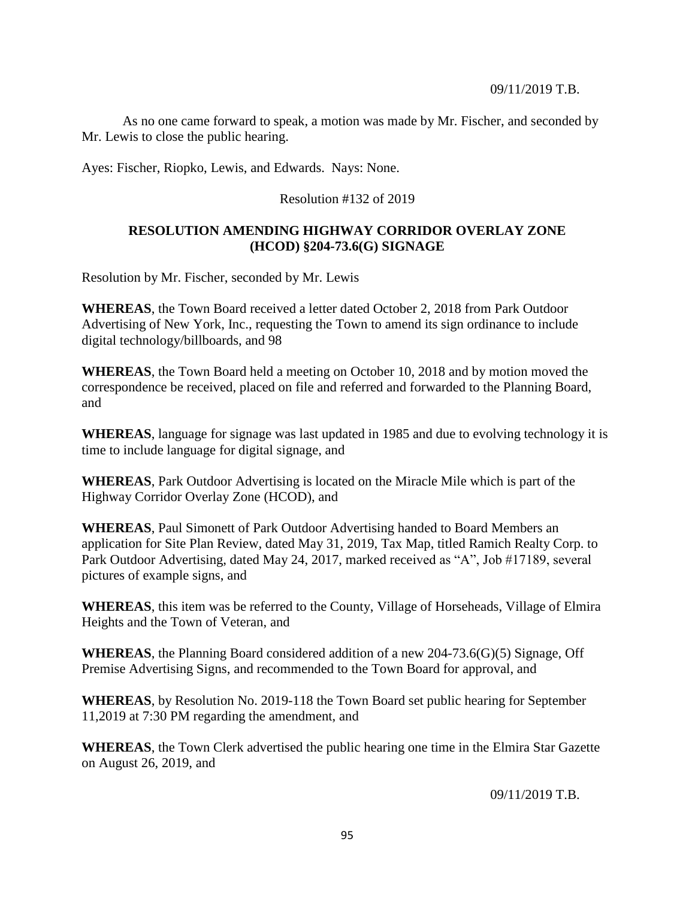As no one came forward to speak, a motion was made by Mr. Fischer, and seconded by Mr. Lewis to close the public hearing.

Ayes: Fischer, Riopko, Lewis, and Edwards. Nays: None.

## Resolution #132 of 2019

## **RESOLUTION AMENDING HIGHWAY CORRIDOR OVERLAY ZONE (HCOD) §204-73.6(G) SIGNAGE**

Resolution by Mr. Fischer, seconded by Mr. Lewis

**WHEREAS**, the Town Board received a letter dated October 2, 2018 from Park Outdoor Advertising of New York, Inc., requesting the Town to amend its sign ordinance to include digital technology/billboards, and 98

**WHEREAS**, the Town Board held a meeting on October 10, 2018 and by motion moved the correspondence be received, placed on file and referred and forwarded to the Planning Board, and

**WHEREAS**, language for signage was last updated in 1985 and due to evolving technology it is time to include language for digital signage, and

**WHEREAS**, Park Outdoor Advertising is located on the Miracle Mile which is part of the Highway Corridor Overlay Zone (HCOD), and

**WHEREAS**, Paul Simonett of Park Outdoor Advertising handed to Board Members an application for Site Plan Review, dated May 31, 2019, Tax Map, titled Ramich Realty Corp. to Park Outdoor Advertising, dated May 24, 2017, marked received as "A", Job #17189, several pictures of example signs, and

**WHEREAS**, this item was be referred to the County, Village of Horseheads, Village of Elmira Heights and the Town of Veteran, and

**WHEREAS**, the Planning Board considered addition of a new 204-73.6(G)(5) Signage, Off Premise Advertising Signs, and recommended to the Town Board for approval, and

**WHEREAS**, by Resolution No. 2019-118 the Town Board set public hearing for September 11,2019 at 7:30 PM regarding the amendment, and

**WHEREAS**, the Town Clerk advertised the public hearing one time in the Elmira Star Gazette on August 26, 2019, and

09/11/2019 T.B.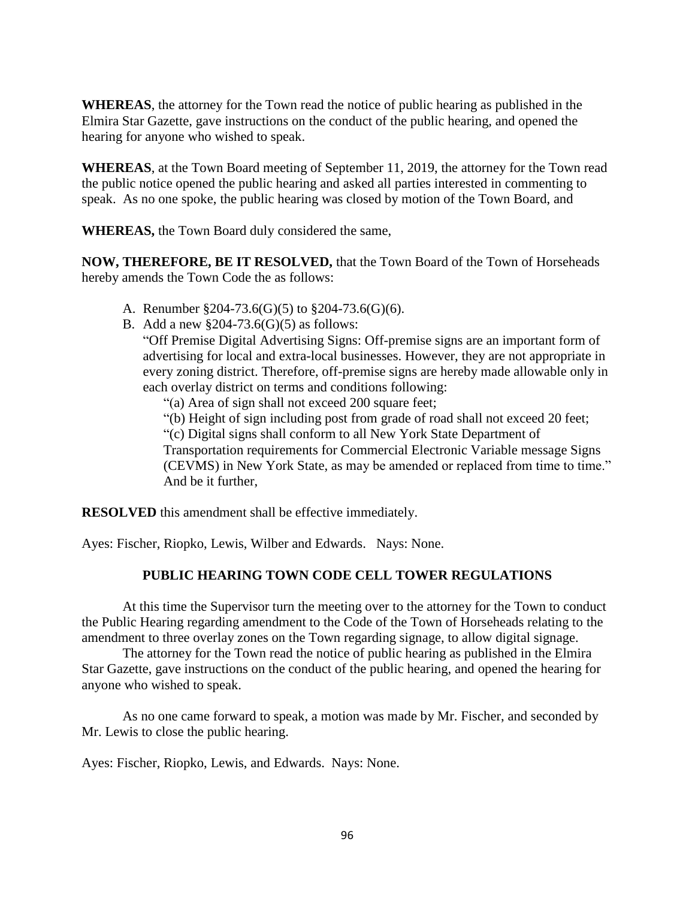**WHEREAS**, the attorney for the Town read the notice of public hearing as published in the Elmira Star Gazette, gave instructions on the conduct of the public hearing, and opened the hearing for anyone who wished to speak.

**WHEREAS**, at the Town Board meeting of September 11, 2019, the attorney for the Town read the public notice opened the public hearing and asked all parties interested in commenting to speak. As no one spoke, the public hearing was closed by motion of the Town Board, and

**WHEREAS,** the Town Board duly considered the same,

**NOW, THEREFORE, BE IT RESOLVED,** that the Town Board of the Town of Horseheads hereby amends the Town Code the as follows:

- A. Renumber §204-73.6(G)(5) to §204-73.6(G)(6).
- B. Add a new  $\S 204-73.6(G)(5)$  as follows:

"Off Premise Digital Advertising Signs: Off-premise signs are an important form of advertising for local and extra-local businesses. However, they are not appropriate in every zoning district. Therefore, off-premise signs are hereby made allowable only in each overlay district on terms and conditions following:

"(a) Area of sign shall not exceed 200 square feet;

"(b) Height of sign including post from grade of road shall not exceed 20 feet; "(c) Digital signs shall conform to all New York State Department of Transportation requirements for Commercial Electronic Variable message Signs (CEVMS) in New York State, as may be amended or replaced from time to time." And be it further,

**RESOLVED** this amendment shall be effective immediately.

Ayes: Fischer, Riopko, Lewis, Wilber and Edwards. Nays: None.

## **PUBLIC HEARING TOWN CODE CELL TOWER REGULATIONS**

At this time the Supervisor turn the meeting over to the attorney for the Town to conduct the Public Hearing regarding amendment to the Code of the Town of Horseheads relating to the amendment to three overlay zones on the Town regarding signage, to allow digital signage.

The attorney for the Town read the notice of public hearing as published in the Elmira Star Gazette, gave instructions on the conduct of the public hearing, and opened the hearing for anyone who wished to speak.

As no one came forward to speak, a motion was made by Mr. Fischer, and seconded by Mr. Lewis to close the public hearing.

Ayes: Fischer, Riopko, Lewis, and Edwards. Nays: None.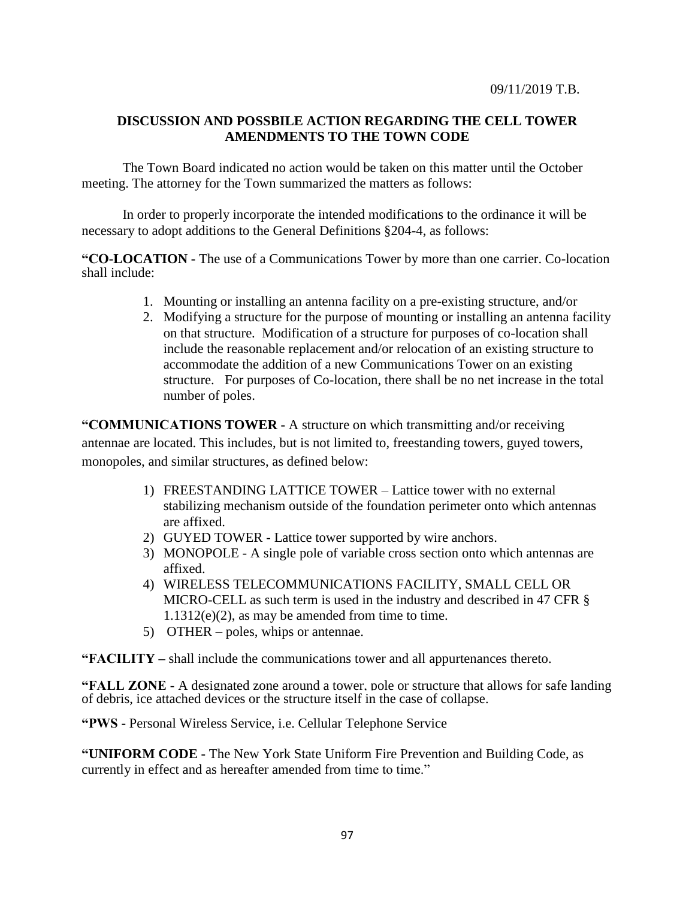## **DISCUSSION AND POSSBILE ACTION REGARDING THE CELL TOWER AMENDMENTS TO THE TOWN CODE**

The Town Board indicated no action would be taken on this matter until the October meeting. The attorney for the Town summarized the matters as follows:

In order to properly incorporate the intended modifications to the ordinance it will be necessary to adopt additions to the General Definitions §204-4, as follows:

**"CO-LOCATION -** The use of a Communications Tower by more than one carrier. Co-location shall include:

- 1. Mounting or installing an antenna facility on a pre-existing structure, and/or
- 2. Modifying a structure for the purpose of mounting or installing an antenna facility on that structure. Modification of a structure for purposes of co-location shall include the reasonable replacement and/or relocation of an existing structure to accommodate the addition of a new Communications Tower on an existing structure. For purposes of Co-location, there shall be no net increase in the total number of poles.

**"COMMUNICATIONS TOWER -** A structure on which transmitting and/or receiving antennae are located. This includes, but is not limited to, freestanding towers, guyed towers, monopoles, and similar structures, as defined below:

- 1) FREESTANDING LATTICE TOWER Lattice tower with no external stabilizing mechanism outside of the foundation perimeter onto which antennas are affixed.
- 2) GUYED TOWER Lattice tower supported by wire anchors.
- 3) MONOPOLE A single pole of variable cross section onto which antennas are affixed.
- 4) WIRELESS TELECOMMUNICATIONS FACILITY, SMALL CELL OR MICRO-CELL as such term is used in the industry and described in 47 CFR §  $1.1312(e)(2)$ , as may be amended from time to time.
- 5) OTHER poles, whips or antennae.

**"FACILITY –** shall include the communications tower and all appurtenances thereto.

**"FALL ZONE** - A designated zone around a tower, pole or structure that allows for safe landing of debris, ice attached devices or the structure itself in the case of collapse.

**"PWS -** Personal Wireless Service, i.e. Cellular Telephone Service

**["UNIFORM CODE](https://ecode360.com/6720929#6720929) -** The New York State Uniform Fire Prevention and Building Code, as currently in effect and as hereafter amended from time to time."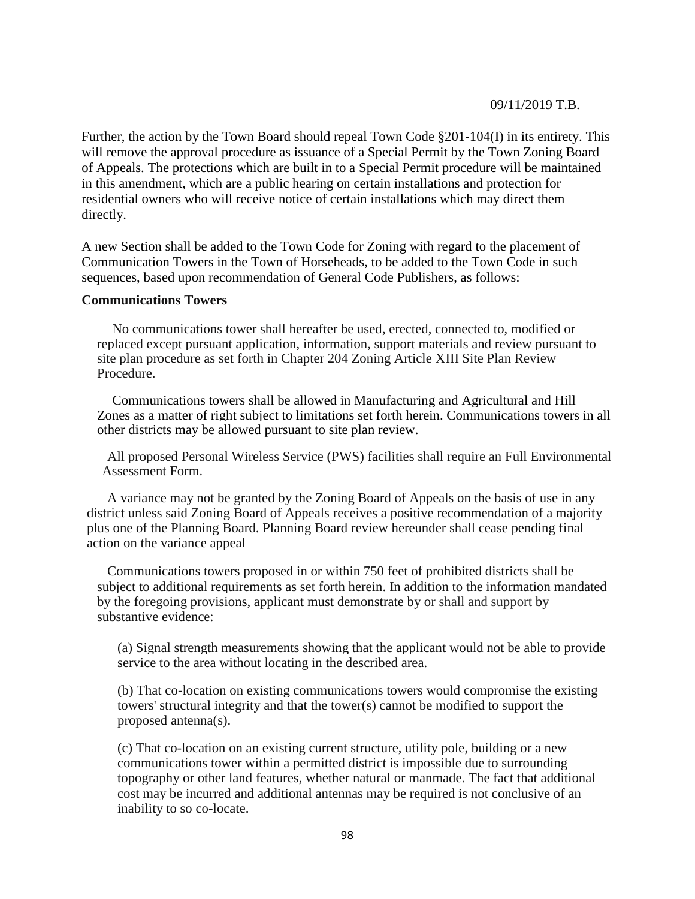Further, the action by the Town Board should repeal Town Code §201-104(I) in its entirety. This will remove the approval procedure as issuance of a Special Permit by the Town Zoning Board of Appeals. The protections which are built in to a Special Permit procedure will be maintained in this amendment, which are a public hearing on certain installations and protection for residential owners who will receive notice of certain installations which may direct them directly.

A new Section shall be added to the Town Code for Zoning with regard to the placement of Communication Towers in the Town of Horseheads, to be added to the Town Code in such sequences, based upon recommendation of General Code Publishers, as follows:

### **Communications Towers**

No communications tower shall hereafter be used, erected, connected to, modified or replaced except pursuant application, information, support materials and review pursuant to site plan procedure as set forth in Chapter 204 Zoning Article XIII Site Plan Review Procedure.

Communications towers shall be allowed in Manufacturing and Agricultural and Hill Zones as a matter of right subject to limitations set forth herein. Communications towers in all other districts may be allowed pursuant to site plan review.

All proposed Personal Wireless Service (PWS) facilities shall require an Full Environmental Assessment Form.

A variance may not be granted by the Zoning Board of Appeals on the basis of use in any district unless said Zoning Board of Appeals receives a positive recommendation of a majority plus one of the Planning Board. Planning Board review hereunder shall cease pending final action on the variance appeal

Communications towers proposed in or within 750 feet of prohibited districts shall be subject to additional requirements as set forth herein. In addition to the information mandated by the foregoing provisions, applicant must demonstrate by or shall and support by substantive evidence:

(a) Signal strength measurements showing that the applicant would not be able to provide service to the area without locating in the described area.

(b) That co-location on existing communications towers would compromise the existing towers' structural integrity and that the tower(s) cannot be modified to support the proposed antenna(s).

(c) That co-location on an existing current structure, utility pole, building or a new communications tower within a permitted district is impossible due to surrounding topography or other land features, whether natural or manmade. The fact that additional cost may be incurred and additional antennas may be required is not conclusive of an inability to so co-locate.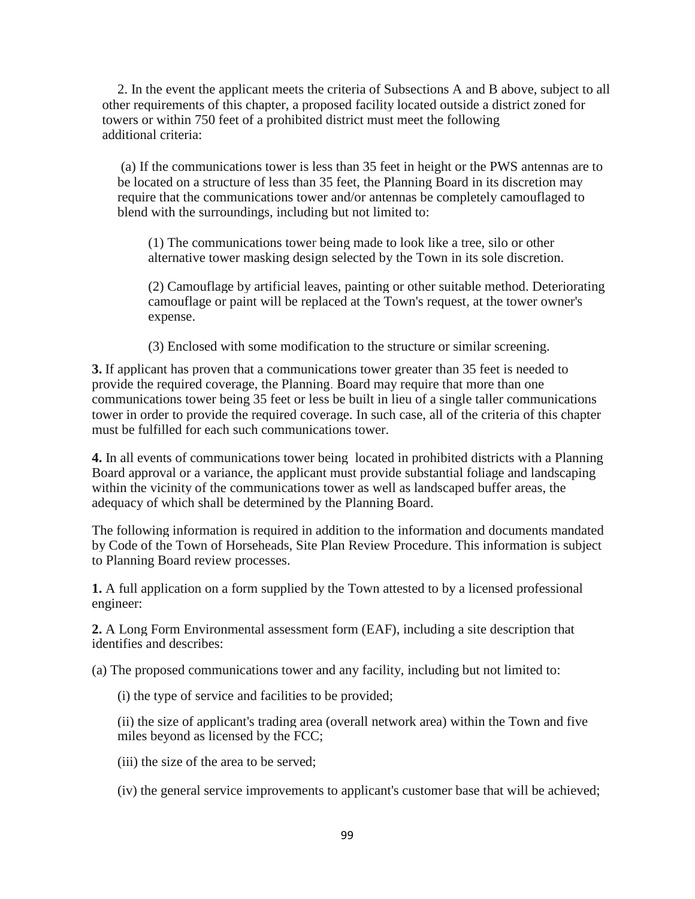2. In the event the applicant meets the criteria of Subsections A and B above, subject to all other requirements of this chapter, a proposed facility located outside a district zoned for towers or within 750 feet of a prohibited district must meet the following additional criteria:

(a) If the communications tower is less than 35 feet in height or the PWS antennas are to be located on a structure of less than 35 feet, the Planning Board in its discretion may require that the communications tower and/or antennas be completely camouflaged to blend with the surroundings, including but not limited to:

(1) The communications tower being made to look like a tree, silo or other alternative tower masking design selected by the Town in its sole discretion.

(2) Camouflage by artificial leaves, painting or other suitable method. Deteriorating camouflage or paint will be replaced at the Town's request, at the tower owner's expense.

(3) Enclosed with some modification to the structure or similar screening.

**3.** If applicant has proven that a communications tower greater than 35 feet is needed to provide the required coverage, the Planning. Board may require that more than one communications tower being 35 feet or less be built in lieu of a single taller communications tower in order to provide the required coverage. In such case, all of the criteria of this chapter must be fulfilled for each such communications tower.

**4.** In all events of communications tower being located in prohibited districts with a Planning Board approval or a variance, the applicant must provide substantial foliage and landscaping within the vicinity of the communications tower as well as landscaped buffer areas, the adequacy of which shall be determined by the Planning Board.

The following information is required in addition to the information and documents mandated by Code of the Town of Horseheads, Site Plan Review Procedure. This information is subject to Planning Board review processes.

**1.** A full application on a form supplied by the Town attested to by a licensed professional engineer:

**2.** A Long Form Environmental assessment form (EAF), including a site description that identifies and describes:

(a) The proposed communications tower and any facility, including but not limited to:

(i) the type of service and facilities to be provided;

(ii) the size of applicant's trading area (overall network area) within the Town and five miles beyond as licensed by the FCC;

- (iii) the size of the area to be served;
- (iv) the general service improvements to applicant's customer base that will be achieved;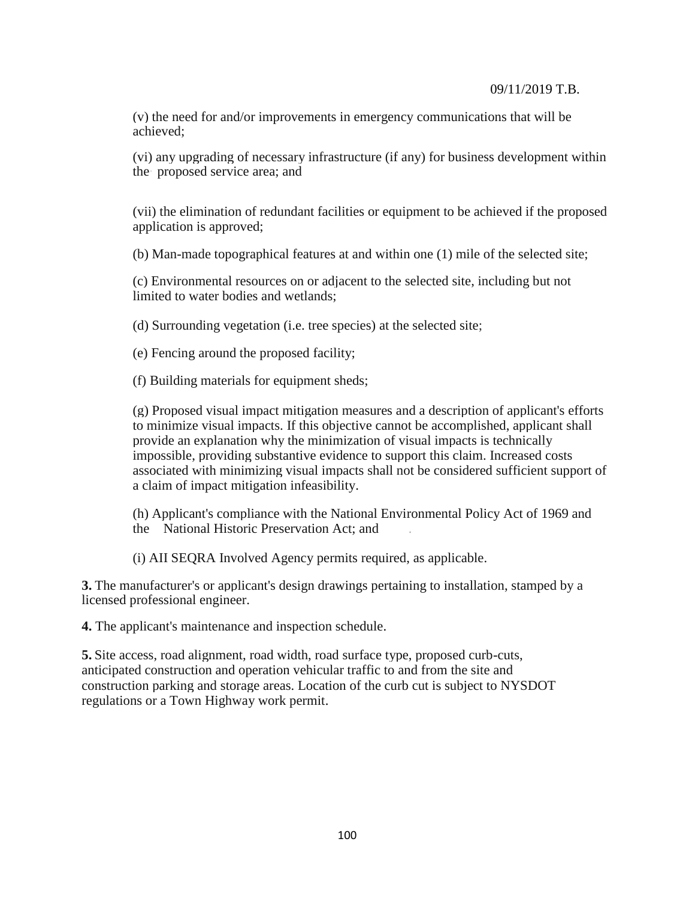(v) the need for and/or improvements in emergency communications that will be achieved;

(vi) any upgrading of necessary infrastructure (if any) for business development within the· proposed service area; and

(vii) the elimination of redundant facilities or equipment to be achieved if the proposed application is approved;

(b) Man-made topographical features at and within one (1) mile of the selected site;

(c) Environmental resources on or adjacent to the selected site, including but not limited to water bodies and wetlands;

(d) Surrounding vegetation (i.e. tree species) at the selected site;

(e) Fencing around the proposed facility;

(f) Building materials for equipment sheds;

(g) Proposed visual impact mitigation measures and a description of applicant's efforts to minimize visual impacts. If this objective cannot be accomplished, applicant shall provide an explanation why the minimization of visual impacts is technically impossible, providing substantive evidence to support this claim. Increased costs associated with minimizing visual impacts shall not be considered sufficient support of a claim of impact mitigation infeasibility.

(h) Applicant's compliance with the National Environmental Policy Act of 1969 and the National Historic Preservation Act; and .

(i) AII SEQRA Involved Agency permits required, as applicable.

**3.** The manufacturer's or applicant's design drawings pertaining to installation, stamped by a licensed professional engineer.

**4.** The applicant's maintenance and inspection schedule.

**5.** Site access, road alignment, road width, road surface type, proposed curb-cuts, anticipated construction and operation vehicular traffic to and from the site and construction parking and storage areas. Location of the curb cut is subject to NYSDOT regulations or a Town Highway work permit.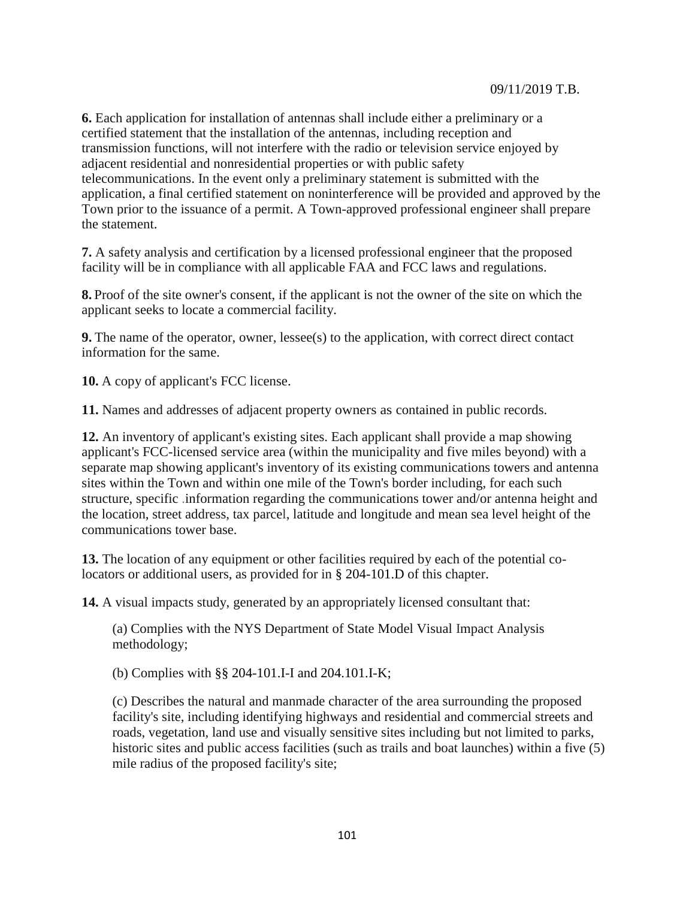**6.** Each application for installation of antennas shall include either a preliminary or a certified statement that the installation of the antennas, including reception and transmission functions, will not interfere with the radio or television service enjoyed by adjacent residential and nonresidential properties or with public safety telecommunications. In the event only a preliminary statement is submitted with the application, a final certified statement on noninterference will be provided and approved by the Town prior to the issuance of a permit. A Town-approved professional engineer shall prepare the statement.

**7.** A safety analysis and certification by a licensed professional engineer that the proposed facility will be in compliance with all applicable FAA and FCC laws and regulations.

**8.** Proof of the site owner's consent, if the applicant is not the owner of the site on which the applicant seeks to locate a commercial facility.

**9.** The name of the operator, owner, lessee(s) to the application, with correct direct contact information for the same.

**10.** A copy of applicant's FCC license.

**11.** Names and addresses of adjacent property owners as contained in public records.

**12.** An inventory of applicant's existing sites. Each applicant shall provide a map showing applicant's FCC-licensed service area (within the municipality and five miles beyond) with a separate map showing applicant's inventory of its existing communications towers and antenna sites within the Town and within one mile of the Town's border including, for each such structure, specific .information regarding the communications tower and/or antenna height and the location, street address, tax parcel, latitude and longitude and mean sea level height of the communications tower base.

**13.** The location of any equipment or other facilities required by each of the potential colocators or additional users, as provided for in § 204-101.D of this chapter.

**14.** A visual impacts study, generated by an appropriately licensed consultant that:

(a) Complies with the NYS Department of State Model Visual Impact Analysis methodology;

(b) Complies with §§ 204-101.I-I and 204.101.I-K;

(c) Describes the natural and manmade character of the area surrounding the proposed facility's site, including identifying highways and residential and commercial streets and roads, vegetation, land use and visually sensitive sites including but not limited to parks, historic sites and public access facilities (such as trails and boat launches) within a five (5) mile radius of the proposed facility's site;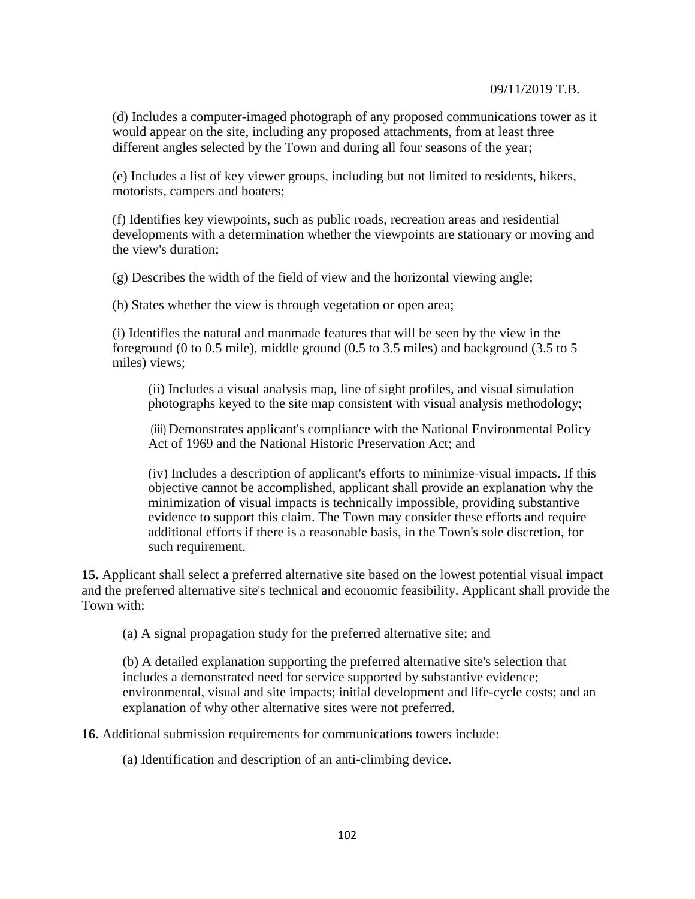(d) Includes a computer-imaged photograph of any proposed communications tower as it would appear on the site, including any proposed attachments, from at least three different angles selected by the Town and during all four seasons of the year;

(e) Includes a list of key viewer groups, including but not limited to residents, hikers, motorists, campers and boaters;

(f) Identifies key viewpoints, such as public roads, recreation areas and residential developments with a determination whether the viewpoints are stationary or moving and the view's duration;

(g) Describes the width of the field of view and the horizontal viewing angle;

(h) States whether the view is through vegetation or open area;

(i) Identifies the natural and manmade features that will be seen by the view in the foreground (0 to 0.5 mile), middle ground (0.5 to 3.5 miles) and background (3.5 to 5 miles) views;

(ii) Includes a visual analysis map, line of sight profiles, and visual simulation photographs keyed to the site map consistent with visual analysis methodology;

(iii) Demonstrates applicant's compliance with the National Environmental Policy Act of 1969 and the National Historic Preservation Act; and

(iv) Includes a description of applicant's efforts to minimize-visual impacts. If this objective cannot be accomplished, applicant shall provide an explanation why the minimization of visual impacts is technically impossible, providing substantive evidence to support this claim. The Town may consider these efforts and require additional efforts if there is a reasonable basis, in the Town's sole discretion, for such requirement.

**15.** Applicant shall select a preferred alternative site based on the lowest potential visual impact and the preferred alternative site's technical and economic feasibility. Applicant shall provide the Town with:

(a) A signal propagation study for the preferred alternative site; and

(b) A detailed explanation supporting the preferred alternative site's selection that includes a demonstrated need for service supported by substantive evidence; environmental, visual and site impacts; initial development and life-cycle costs; and an explanation of why other alternative sites were not preferred.

**16.** Additional submission requirements for communications towers include:

(a) Identification and description of an anti-climbing device.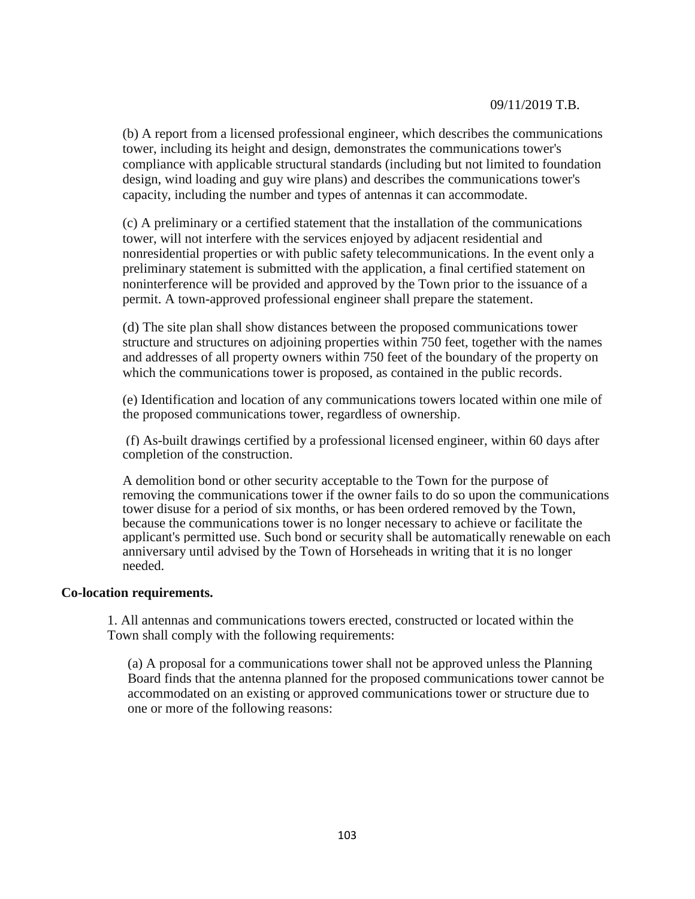(b) A report from a licensed professional engineer, which describes the communications tower, including its height and design, demonstrates the communications tower's compliance with applicable structural standards (including but not limited to foundation design, wind loading and guy wire plans) and describes the communications tower's capacity, including the number and types of antennas it can accommodate.

(c) A preliminary or a certified statement that the installation of the communications tower, will not interfere with the services enjoyed by adjacent residential and nonresidential properties or with public safety telecommunications. In the event only a preliminary statement is submitted with the application, a final certified statement on noninterference will be provided and approved by the Town prior to the issuance of a permit. A town-approved professional engineer shall prepare the statement.

(d) The site plan shall show distances between the proposed communications tower structure and structures on adjoining properties within 750 feet, together with the names and addresses of all property owners within 750 feet of the boundary of the property on which the communications tower is proposed, as contained in the public records.

(e) Identification and location of any communications towers located within one mile of the proposed communications tower, regardless of ownership.

(f) As-built drawings certified by a professional licensed engineer, within 60 days after completion of the construction.

A demolition bond or other security acceptable to the Town for the purpose of removing the communications tower if the owner fails to do so upon the communications tower disuse for a period of six months, or has been ordered removed by the Town, because the communications tower is no longer necessary to achieve or facilitate the applicant's permitted use. Such bond or security shall be automatically renewable on each anniversary until advised by the Town of Horseheads in writing that it is no longer needed.

#### **Co-location requirements.**

1. All antennas and communications towers erected, constructed or located within the Town shall comply with the following requirements:

(a) A proposal for a communications tower shall not be approved unless the Planning Board finds that the antenna planned for the proposed communications tower cannot be accommodated on an existing or approved communications tower or structure due to one or more of the following reasons: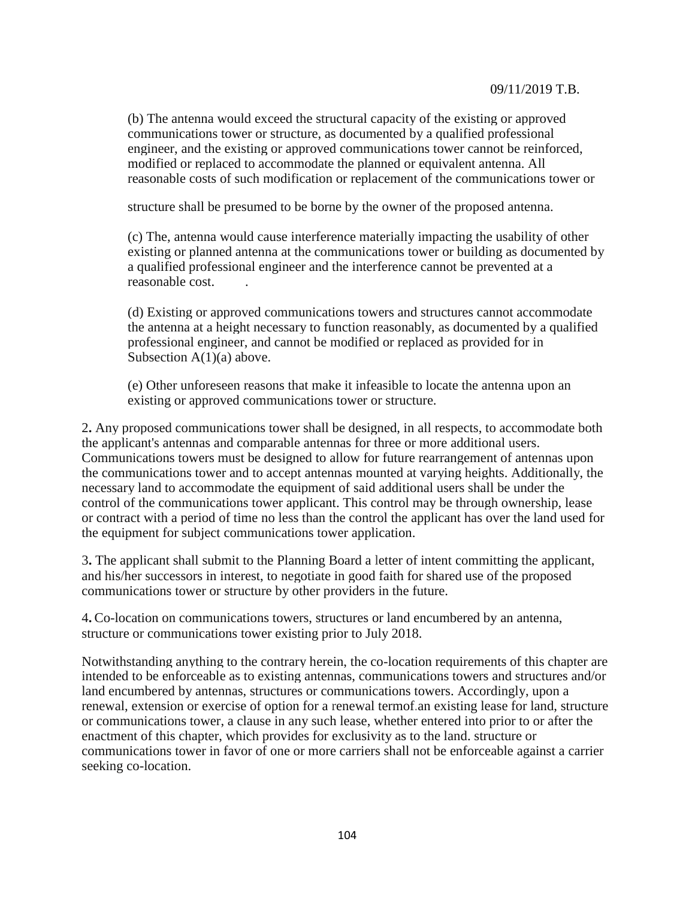(b) The antenna would exceed the structural capacity of the existing or approved communications tower or structure, as documented by a qualified professional engineer, and the existing or approved communications tower cannot be reinforced, modified or replaced to accommodate the planned or equivalent antenna. All reasonable costs of such modification or replacement of the communications tower or

structure shall be presumed to be borne by the owner of the proposed antenna.

(c) The, antenna would cause interference materially impacting the usability of other existing or planned antenna at the communications tower or building as documented by a qualified professional engineer and the interference cannot be prevented at a reasonable cost.  $\qquad \qquad$ .

(d) Existing or approved communications towers and structures cannot accommodate the antenna at a height necessary to function reasonably, as documented by a qualified professional engineer, and cannot be modified or replaced as provided for in Subsection  $A(1)(a)$  above.

(e) Other unforeseen reasons that make it infeasible to locate the antenna upon an existing or approved communications tower or structure.

2**.** Any proposed communications tower shall be designed, in all respects, to accommodate both the applicant's antennas and comparable antennas for three or more additional users. Communications towers must be designed to allow for future rearrangement of antennas upon the communications tower and to accept antennas mounted at varying heights. Additionally, the necessary land to accommodate the equipment of said additional users shall be under the control of the communications tower applicant. This control may be through ownership, lease or contract with a period of time no less than the control the applicant has over the land used for the equipment for subject communications tower application.

3**.** The applicant shall submit to the Planning Board a letter of intent committing the applicant, and his/her successors in interest, to negotiate in good faith for shared use of the proposed communications tower or structure by other providers in the future.

4**.** Co-location on communications towers, structures or land encumbered by an antenna, structure or communications tower existing prior to July 2018.

Notwithstanding anything to the contrary herein, the co-location requirements of this chapter are intended to be enforceable as to existing antennas, communications towers and structures and/or land encumbered by antennas, structures or communications towers. Accordingly, upon a renewal, extension or exercise of option for a renewal termof.an existing lease for land, structure or communications tower, a clause in any such lease, whether entered into prior to or after the enactment of this chapter, which provides for exclusivity as to the land. structure or communications tower in favor of one or more carriers shall not be enforceable against a carrier seeking co-location.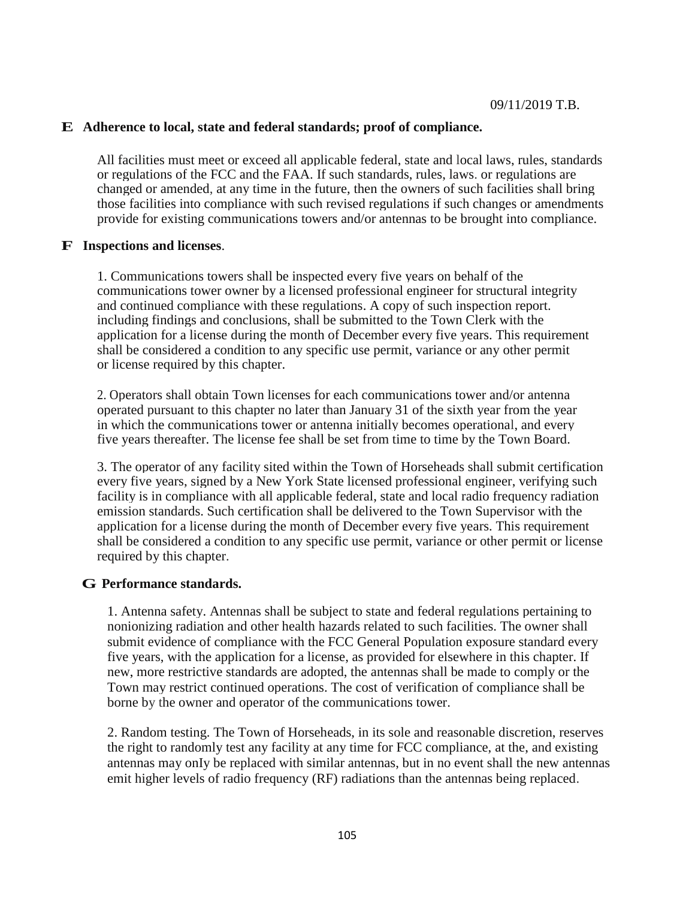## **E Adherence to local, state and federal standards; proof of compliance.**

All facilities must meet or exceed all applicable federal, state and local laws, rules, standards or regulations of the FCC and the FAA. If such standards, rules, laws. or regulations are changed or amended, at any time in the future, then the owners of such facilities shall bring those facilities into compliance with such revised regulations if such changes or amendments provide for existing communications towers and/or antennas to be brought into compliance.

## **F Inspections and licenses**.

1. Communications towers shall be inspected every five years on behalf of the communications tower owner by a licensed professional engineer for structural integrity and continued compliance with these regulations. A copy of such inspection report. including findings and conclusions, shall be submitted to the Town Clerk with the application for a license during the month of December every five years. This requirement shall be considered a condition to any specific use permit, variance or any other permit or license required by this chapter.

2. Operators shall obtain Town licenses for each communications tower and/or antenna operated pursuant to this chapter no later than January 31 of the sixth year from the year in which the communications tower or antenna initially becomes operational, and every five years thereafter. The license fee shall be set from time to time by the Town Board.

3. The operator of any facility sited within the Town of Horseheads shall submit certification every five years, signed by a New York State licensed professional engineer, verifying such facility is in compliance with all applicable federal, state and local radio frequency radiation emission standards. Such certification shall be delivered to the Town Supervisor with the application for a license during the month of December every five years. This requirement shall be considered a condition to any specific use permit, variance or other permit or license required by this chapter.

## **G Performance standards.**

1. Antenna safety. Antennas shall be subject to state and federal regulations pertaining to nonionizing radiation and other health hazards related to such facilities. The owner shall submit evidence of compliance with the FCC General Population exposure standard every five years, with the application for a license, as provided for elsewhere in this chapter. If new, more restrictive standards are adopted, the antennas shall be made to comply or the Town may restrict continued operations. The cost of verification of compliance shall be borne by the owner and operator of the communications tower.

2. Random testing. The Town of Horseheads, in its sole and reasonable discretion, reserves the right to randomly test any facility at any time for FCC compliance, at the, and existing antennas may onIy be replaced with similar antennas, but in no event shall the new antennas emit higher levels of radio frequency (RF) radiations than the antennas being replaced.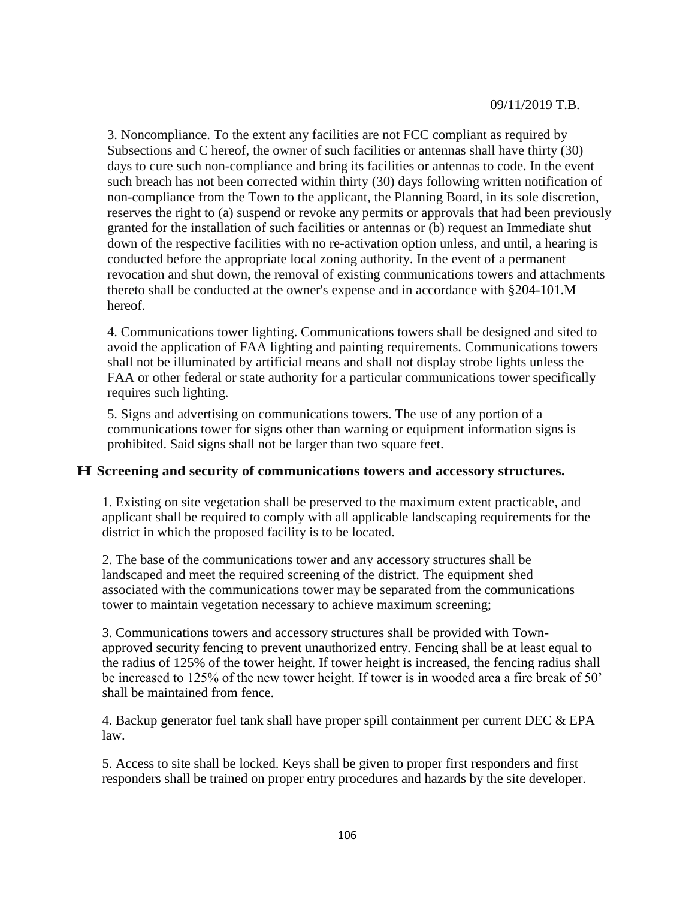3. Noncompliance. To the extent any facilities are not FCC compliant as required by Subsections and C hereof, the owner of such facilities or antennas shall have thirty (30) days to cure such non-compliance and bring its facilities or antennas to code. In the event such breach has not been corrected within thirty (30) days following written notification of non-compliance from the Town to the applicant, the Planning Board, in its sole discretion, reserves the right to (a) suspend or revoke any permits or approvals that had been previously granted for the installation of such facilities or antennas or (b) request an Immediate shut down of the respective facilities with no re-activation option unless, and until, a hearing is conducted before the appropriate local zoning authority. In the event of a permanent revocation and shut down, the removal of existing communications towers and attachments thereto shall be conducted at the owner's expense and in accordance with §204-101.M hereof.

4. Communications tower lighting. Communications towers shall be designed and sited to avoid the application of FAA lighting and painting requirements. Communications towers shall not be illuminated by artificial means and shall not display strobe lights unless the FAA or other federal or state authority for a particular communications tower specifically requires such lighting.

5. Signs and advertising on communications towers. The use of any portion of a communications tower for signs other than warning or equipment information signs is prohibited. Said signs shall not be larger than two square feet.

### **H Screening and security of communications towers and accessory structures.**

1. Existing on site vegetation shall be preserved to the maximum extent practicable, and applicant shall be required to comply with all applicable landscaping requirements for the district in which the proposed facility is to be located.

2. The base of the communications tower and any accessory structures shall be landscaped and meet the required screening of the district. The equipment shed associated with the communications tower may be separated from the communications tower to maintain vegetation necessary to achieve maximum screening;

3. Communications towers and accessory structures shall be provided with Townapproved security fencing to prevent unauthorized entry. Fencing shall be at least equal to the radius of 125% of the tower height. If tower height is increased, the fencing radius shall be increased to 125% of the new tower height. If tower is in wooded area a fire break of 50' shall be maintained from fence.

4. Backup generator fuel tank shall have proper spill containment per current DEC  $\&$  EPA law.

5. Access to site shall be locked. Keys shall be given to proper first responders and first responders shall be trained on proper entry procedures and hazards by the site developer.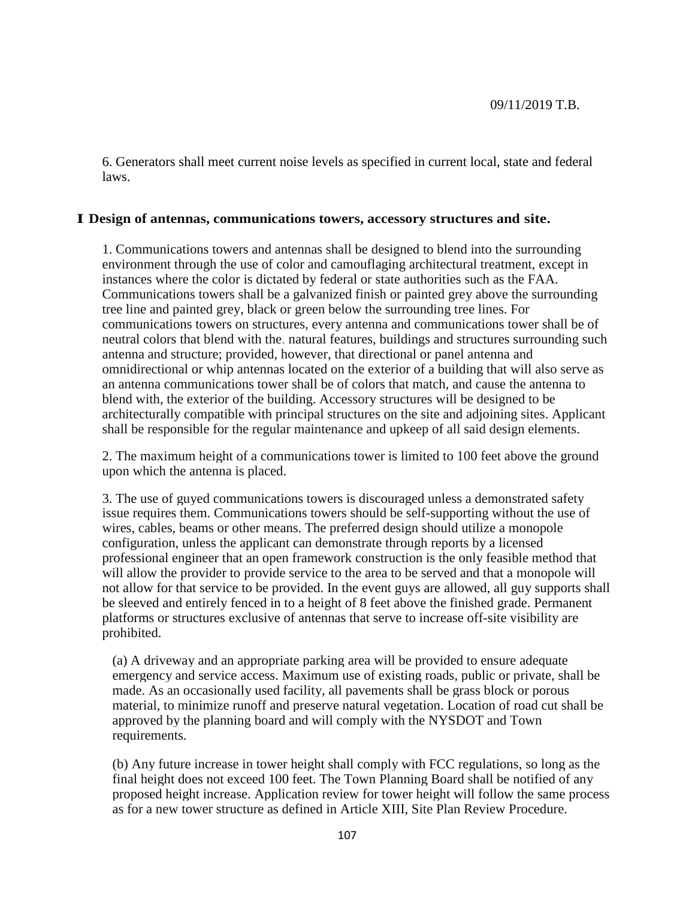6. Generators shall meet current noise levels as specified in current local, state and federal laws.

### **I Design of antennas, communications towers, accessory structures and site.**

1. Communications towers and antennas shall be designed to blend into the surrounding environment through the use of color and camouflaging architectural treatment, except in instances where the color is dictated by federal or state authorities such as the FAA. Communications towers shall be a galvanized finish or painted grey above the surrounding tree line and painted grey, black or green below the surrounding tree lines. For communications towers on structures, every antenna and communications tower shall be of neutral colors that blend with the. natural features, buildings and structures surrounding such antenna and structure; provided, however, that directional or panel antenna and omnidirectional or whip antennas located on the exterior of a building that will also serve as an antenna communications tower shall be of colors that match, and cause the antenna to blend with, the exterior of the building. Accessory structures will be designed to be architecturally compatible with principal structures on the site and adjoining sites. Applicant shall be responsible for the regular maintenance and upkeep of all said design elements.

2. The maximum height of a communications tower is limited to 100 feet above the ground upon which the antenna is placed.

3. The use of guyed communications towers is discouraged unless a demonstrated safety issue requires them. Communications towers should be self-supporting without the use of wires, cables, beams or other means. The preferred design should utilize a monopole configuration, unless the applicant can demonstrate through reports by a licensed professional engineer that an open framework construction is the only feasible method that will allow the provider to provide service to the area to be served and that a monopole will not allow for that service to be provided. In the event guys are allowed, all guy supports shall be sleeved and entirely fenced in to a height of 8 feet above the finished grade. Permanent platforms or structures exclusive of antennas that serve to increase off-site visibility are prohibited.

(a) A driveway and an appropriate parking area will be provided to ensure adequate emergency and service access. Maximum use of existing roads, public or private, shall be made. As an occasionally used facility, all pavements shall be grass block or porous material, to minimize runoff and preserve natural vegetation. Location of road cut shall be approved by the planning board and will comply with the NYSDOT and Town requirements.

(b) Any future increase in tower height shall comply with FCC regulations, so long as the final height does not exceed 100 feet. The Town Planning Board shall be notified of any proposed height increase. Application review for tower height will follow the same process as for a new tower structure as defined in Article XIII, Site Plan Review Procedure.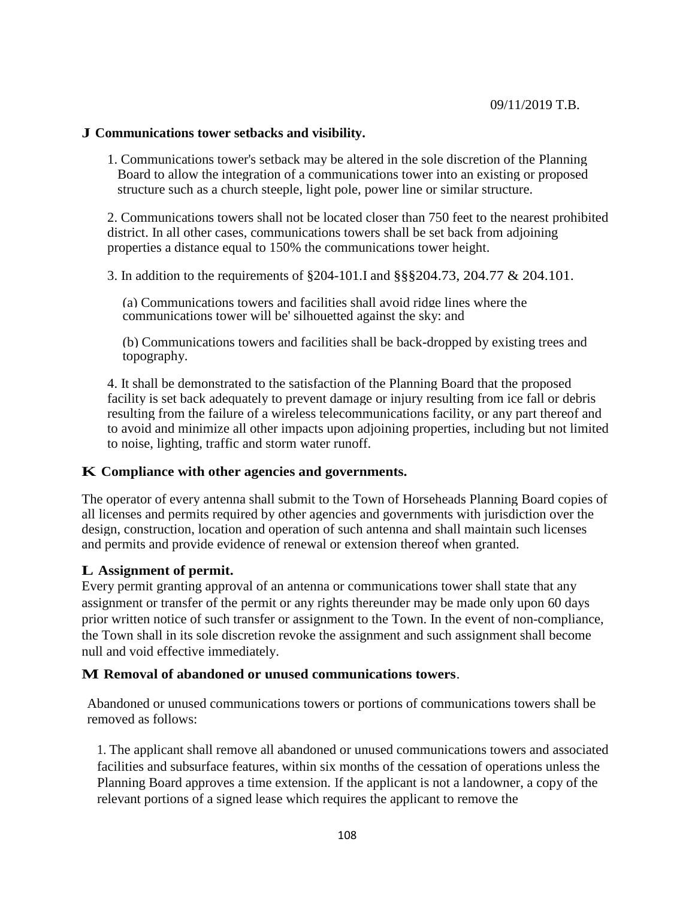## **J Communications tower setbacks and visibility.**

1. Communications tower's setback may be altered in the sole discretion of the Planning Board to allow the integration of a communications tower into an existing or proposed structure such as a church steeple, light pole, power line or similar structure.

2. Communications towers shall not be located closer than 750 feet to the nearest prohibited district. In all other cases, communications towers shall be set back from adjoining properties a distance equal to 150% the communications tower height.

3. In addition to the requirements of §204-101.I and §§§204.73, 204.77 & 204.101.

(a) Communications towers and facilities shall avoid ridge lines where the communications tower will be' silhouetted against the sky: and

(b) Communications towers and facilities shall be back-dropped by existing trees and topography.

4. It shall be demonstrated to the satisfaction of the Planning Board that the proposed facility is set back adequately to prevent damage or injury resulting from ice fall or debris resulting from the failure of a wireless telecommunications facility, or any part thereof and to avoid and minimize all other impacts upon adjoining properties, including but not limited to noise, lighting, traffic and storm water runoff.

## **K Compliance with other agencies and governments.**

The operator of every antenna shall submit to the Town of Horseheads Planning Board copies of all licenses and permits required by other agencies and governments with jurisdiction over the design, construction, location and operation of such antenna and shall maintain such licenses and permits and provide evidence of renewal or extension thereof when granted.

## **L Assignment of permit.**

Every permit granting approval of an antenna or communications tower shall state that any assignment or transfer of the permit or any rights thereunder may be made only upon 60 days prior written notice of such transfer or assignment to the Town. In the event of non-compliance, the Town shall in its sole discretion revoke the assignment and such assignment shall become null and void effective immediately.

#### **M Removal of abandoned or unused communications towers**.

Abandoned or unused communications towers or portions of communications towers shall be removed as follows:

1. The applicant shall remove all abandoned or unused communications towers and associated facilities and subsurface features, within six months of the cessation of operations unless the Planning Board approves a time extension. If the applicant is not a landowner, a copy of the relevant portions of a signed lease which requires the applicant to remove the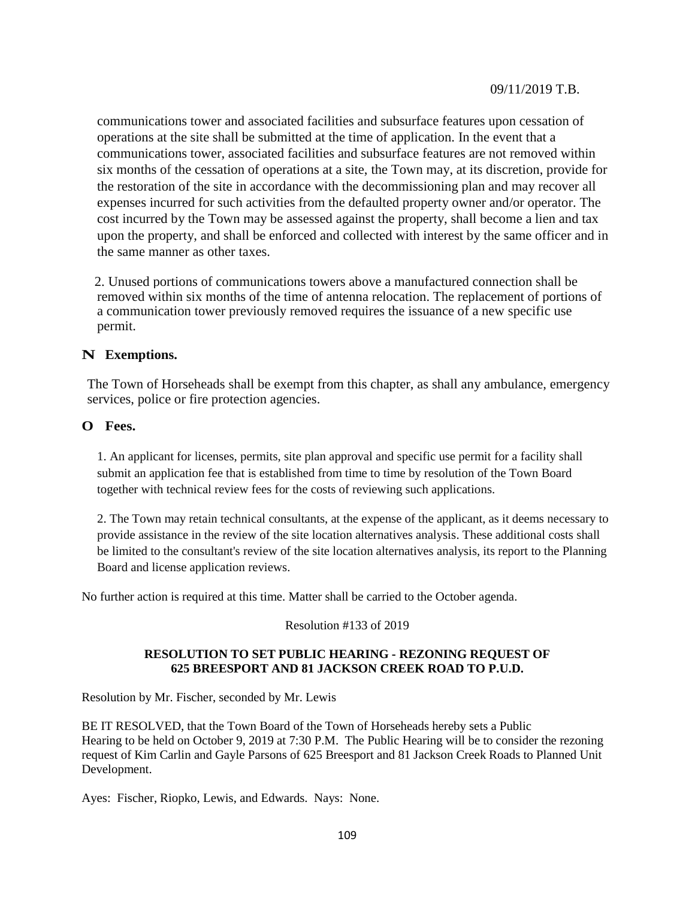communications tower and associated facilities and subsurface features upon cessation of operations at the site shall be submitted at the time of application. In the event that a communications tower, associated facilities and subsurface features are not removed within six months of the cessation of operations at a site, the Town may, at its discretion, provide for the restoration of the site in accordance with the decommissioning plan and may recover all expenses incurred for such activities from the defaulted property owner and/or operator. The cost incurred by the Town may be assessed against the property, shall become a lien and tax upon the property, and shall be enforced and collected with interest by the same officer and in the same manner as other taxes.

2. Unused portions of communications towers above a manufactured connection shall be removed within six months of the time of antenna relocation. The replacement of portions of a communication tower previously removed requires the issuance of a new specific use permit.

## **N Exemptions.**

The Town of Horseheads shall be exempt from this chapter, as shall any ambulance, emergency services, police or fire protection agencies.

## **O Fees.**

1. An applicant for licenses, permits, site plan approval and specific use permit for a facility shall submit an application fee that is established from time to time by resolution of the Town Board together with technical review fees for the costs of reviewing such applications.

2. The Town may retain technical consultants, at the expense of the applicant, as it deems necessary to provide assistance in the review of the site location alternatives analysis. These additional costs shall be limited to the consultant's review of the site location alternatives analysis, its report to the Planning Board and license application reviews.

No further action is required at this time. Matter shall be carried to the October agenda.

#### Resolution #133 of 2019

#### **RESOLUTION TO SET PUBLIC HEARING - REZONING REQUEST OF 625 BREESPORT AND 81 JACKSON CREEK ROAD TO P.U.D.**

Resolution by Mr. Fischer, seconded by Mr. Lewis

BE IT RESOLVED, that the Town Board of the Town of Horseheads hereby sets a Public Hearing to be held on October 9, 2019 at 7:30 P.M. The Public Hearing will be to consider the rezoning request of Kim Carlin and Gayle Parsons of 625 Breesport and 81 Jackson Creek Roads to Planned Unit Development.

Ayes: Fischer, Riopko, Lewis, and Edwards. Nays: None.